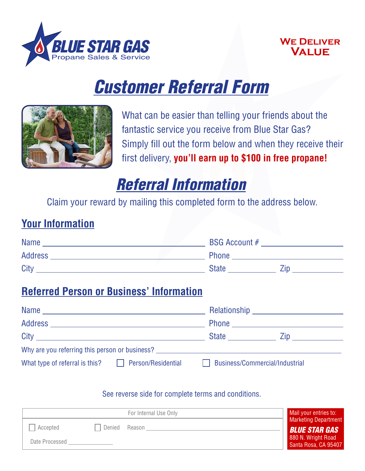

#### **We Deliver Value**

# *Customer Referral Form*



What can be easier than telling your friends about the fantastic service you receive from Blue Star Gas? Simply fill out the form below and when they receive their first delivery, **you'll earn up to \$100 in free propane!**

## *Referral Information*

Claim your reward by mailing this completed form to the address below.

#### **Your Information**

| <b>Name</b>    |  | <b>BSG Account #</b> |  |
|----------------|--|----------------------|--|
| <b>Address</b> |  | <b>Phone</b>         |  |
| City           |  | <b>State</b>         |  |

### **Referred Person or Business' Information**

| Name                                           |                           |                                | <b>Relationship Example 2016</b> |  |  |
|------------------------------------------------|---------------------------|--------------------------------|----------------------------------|--|--|
|                                                |                           |                                |                                  |  |  |
|                                                |                           | <b>State State</b>             |                                  |  |  |
| Why are you referring this person or business? |                           |                                |                                  |  |  |
| What type of referral is this?                 | $\Box$ Person/Residential | Business/Commercial/Industrial |                                  |  |  |

#### See reverse side for complete terms and conditions.

| For Internal Use Only |        | Mail your entries to: |                                              |
|-----------------------|--------|-----------------------|----------------------------------------------|
| Accepted              | Denied | Reason                | Marketing Department<br><b>BLUE STAR GAS</b> |
| Date Processed        |        |                       | 880 N. Wright Road<br>Santa Rosa, CA 95407   |